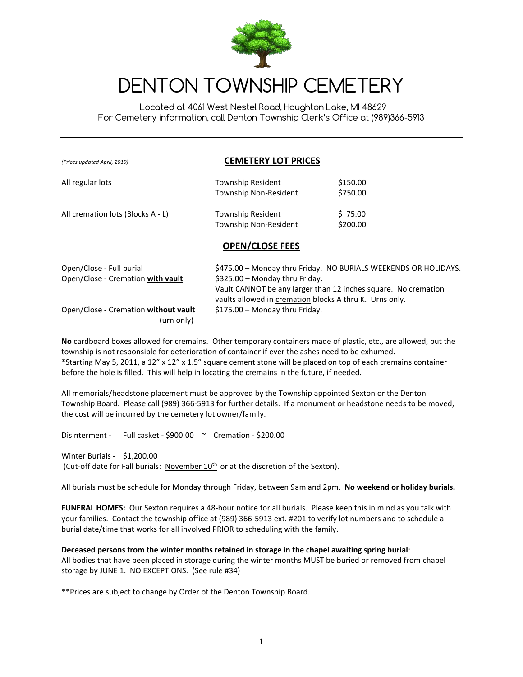

# DENTON TOWNSHIP CEMETERY

 Located at 4061 West Nestel Road, Houghton Lake, MI 48629 For Cemetery information, call Denton Township Clerk's Office at (989)366-5913

| (Prices updated April, 2019)      | <b>CEMETERY LOT PRICES</b>                               |                      |  |
|-----------------------------------|----------------------------------------------------------|----------------------|--|
| All regular lots                  | Township Resident<br>Township Non-Resident               | \$150.00<br>\$750.00 |  |
| All cremation lots (Blocks A - L) | <b>Township Resident</b><br><b>Township Non-Resident</b> | \$75.00<br>\$200.00  |  |

#### **OPEN/CLOSE FEES**

| Open/Close - Full burial             | \$475.00 - Monday thru Friday. NO BURIALS WEEKENDS OR HOLIDAYS. |
|--------------------------------------|-----------------------------------------------------------------|
| Open/Close - Cremation with vault    | \$325.00 - Monday thru Friday.                                  |
|                                      | Vault CANNOT be any larger than 12 inches square. No cremation  |
|                                      | vaults allowed in cremation blocks A thru K. Urns only.         |
| Open/Close - Cremation without vault | \$175.00 - Monday thru Friday.                                  |
| (urn only)                           |                                                                 |

**No** cardboard boxes allowed for cremains. Other temporary containers made of plastic, etc., are allowed, but the township is not responsible for deterioration of container if ever the ashes need to be exhumed. \*Starting May 5, 2011, a 12" x 12" x 1.5" square cement stone will be placed on top of each cremains container before the hole is filled. This will help in locating the cremains in the future, if needed*.*

All memorials/headstone placement must be approved by the Township appointed Sexton or the Denton Township Board. Please call (989) 366-5913 for further details. If a monument or headstone needs to be moved, the cost will be incurred by the cemetery lot owner/family.

Disinterment - Full casket - \$900.00 ~ Cremation - \$200.00

Winter Burials - \$1,200.00

(Cut-off date for Fall burials: November  $10^{th}$  or at the discretion of the Sexton).

All burials must be schedule for Monday through Friday, between 9am and 2pm. **No weekend or holiday burials.** 

**FUNERAL HOMES:** Our Sexton requires a 48-hour notice for all burials. Please keep this in mind as you talk with your families. Contact the township office at (989) 366-5913 ext. #201 to verify lot numbers and to schedule a burial date/time that works for all involved PRIOR to scheduling with the family.

**Deceased persons from the winter months retained in storage in the chapel awaiting spring burial**: All bodies that have been placed in storage during the winter months MUST be buried or removed from chapel storage by JUNE 1. NO EXCEPTIONS. (See rule #34)

\*\*Prices are subject to change by Order of the Denton Township Board.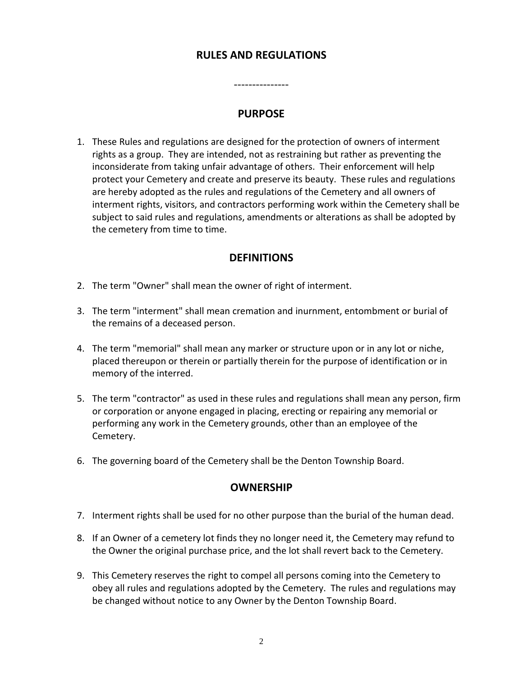# **RULES AND REGULATIONS**

# **PURPOSE**

---------------

1. These Rules and regulations are designed for the protection of owners of interment rights as a group. They are intended, not as restraining but rather as preventing the inconsiderate from taking unfair advantage of others. Their enforcement will help protect your Cemetery and create and preserve its beauty. These rules and regulations are hereby adopted as the rules and regulations of the Cemetery and all owners of interment rights, visitors, and contractors performing work within the Cemetery shall be subject to said rules and regulations, amendments or alterations as shall be adopted by the cemetery from time to time.

### **DEFINITIONS**

- 2. The term "Owner" shall mean the owner of right of interment.
- 3. The term "interment" shall mean cremation and inurnment, entombment or burial of the remains of a deceased person.
- 4. The term "memorial" shall mean any marker or structure upon or in any lot or niche, placed thereupon or therein or partially therein for the purpose of identification or in memory of the interred.
- 5. The term "contractor" as used in these rules and regulations shall mean any person, firm or corporation or anyone engaged in placing, erecting or repairing any memorial or performing any work in the Cemetery grounds, other than an employee of the Cemetery.
- 6. The governing board of the Cemetery shall be the Denton Township Board.

#### **OWNERSHIP**

- 7. Interment rights shall be used for no other purpose than the burial of the human dead.
- 8. If an Owner of a cemetery lot finds they no longer need it, the Cemetery may refund to the Owner the original purchase price, and the lot shall revert back to the Cemetery.
- 9. This Cemetery reserves the right to compel all persons coming into the Cemetery to obey all rules and regulations adopted by the Cemetery. The rules and regulations may be changed without notice to any Owner by the Denton Township Board.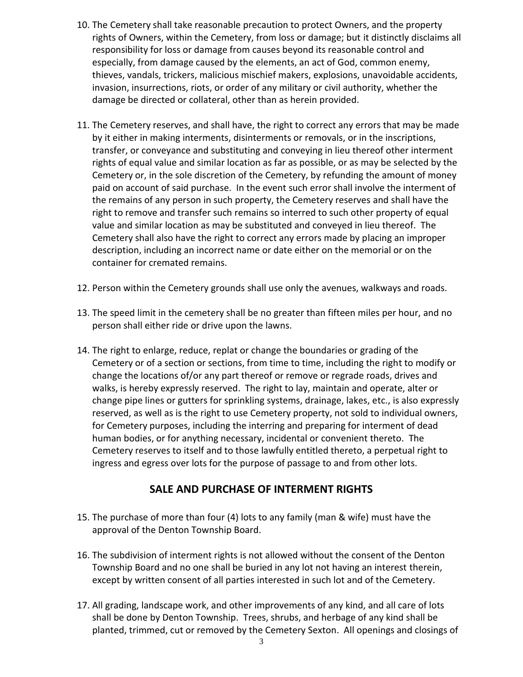- 10. The Cemetery shall take reasonable precaution to protect Owners, and the property rights of Owners, within the Cemetery, from loss or damage; but it distinctly disclaims all responsibility for loss or damage from causes beyond its reasonable control and especially, from damage caused by the elements, an act of God, common enemy, thieves, vandals, trickers, malicious mischief makers, explosions, unavoidable accidents, invasion, insurrections, riots, or order of any military or civil authority, whether the damage be directed or collateral, other than as herein provided.
- 11. The Cemetery reserves, and shall have, the right to correct any errors that may be made by it either in making interments, disinterments or removals, or in the inscriptions, transfer, or conveyance and substituting and conveying in lieu thereof other interment rights of equal value and similar location as far as possible, or as may be selected by the Cemetery or, in the sole discretion of the Cemetery, by refunding the amount of money paid on account of said purchase. In the event such error shall involve the interment of the remains of any person in such property, the Cemetery reserves and shall have the right to remove and transfer such remains so interred to such other property of equal value and similar location as may be substituted and conveyed in lieu thereof. The Cemetery shall also have the right to correct any errors made by placing an improper description, including an incorrect name or date either on the memorial or on the container for cremated remains.
- 12. Person within the Cemetery grounds shall use only the avenues, walkways and roads.
- 13. The speed limit in the cemetery shall be no greater than fifteen miles per hour, and no person shall either ride or drive upon the lawns.
- 14. The right to enlarge, reduce, replat or change the boundaries or grading of the Cemetery or of a section or sections, from time to time, including the right to modify or change the locations of/or any part thereof or remove or regrade roads, drives and walks, is hereby expressly reserved. The right to lay, maintain and operate, alter or change pipe lines or gutters for sprinkling systems, drainage, lakes, etc., is also expressly reserved, as well as is the right to use Cemetery property, not sold to individual owners, for Cemetery purposes, including the interring and preparing for interment of dead human bodies, or for anything necessary, incidental or convenient thereto. The Cemetery reserves to itself and to those lawfully entitled thereto, a perpetual right to ingress and egress over lots for the purpose of passage to and from other lots.

# **SALE AND PURCHASE OF INTERMENT RIGHTS**

- 15. The purchase of more than four (4) lots to any family (man & wife) must have the approval of the Denton Township Board.
- 16. The subdivision of interment rights is not allowed without the consent of the Denton Township Board and no one shall be buried in any lot not having an interest therein, except by written consent of all parties interested in such lot and of the Cemetery.
- 17. All grading, landscape work, and other improvements of any kind, and all care of lots shall be done by Denton Township. Trees, shrubs, and herbage of any kind shall be planted, trimmed, cut or removed by the Cemetery Sexton. All openings and closings of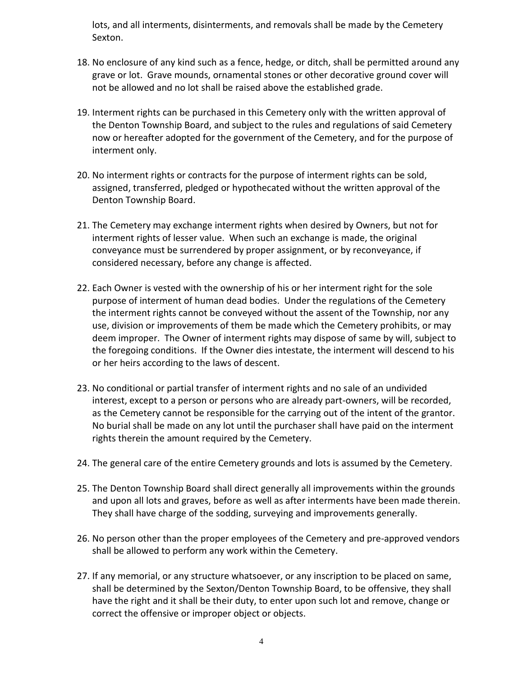lots, and all interments, disinterments, and removals shall be made by the Cemetery Sexton.

- 18. No enclosure of any kind such as a fence, hedge, or ditch, shall be permitted around any grave or lot. Grave mounds, ornamental stones or other decorative ground cover will not be allowed and no lot shall be raised above the established grade.
- 19. Interment rights can be purchased in this Cemetery only with the written approval of the Denton Township Board, and subject to the rules and regulations of said Cemetery now or hereafter adopted for the government of the Cemetery, and for the purpose of interment only.
- 20. No interment rights or contracts for the purpose of interment rights can be sold, assigned, transferred, pledged or hypothecated without the written approval of the Denton Township Board.
- 21. The Cemetery may exchange interment rights when desired by Owners, but not for interment rights of lesser value. When such an exchange is made, the original conveyance must be surrendered by proper assignment, or by reconveyance, if considered necessary, before any change is affected.
- 22. Each Owner is vested with the ownership of his or her interment right for the sole purpose of interment of human dead bodies. Under the regulations of the Cemetery the interment rights cannot be conveyed without the assent of the Township, nor any use, division or improvements of them be made which the Cemetery prohibits, or may deem improper. The Owner of interment rights may dispose of same by will, subject to the foregoing conditions. If the Owner dies intestate, the interment will descend to his or her heirs according to the laws of descent.
- 23. No conditional or partial transfer of interment rights and no sale of an undivided interest, except to a person or persons who are already part-owners, will be recorded, as the Cemetery cannot be responsible for the carrying out of the intent of the grantor. No burial shall be made on any lot until the purchaser shall have paid on the interment rights therein the amount required by the Cemetery.
- 24. The general care of the entire Cemetery grounds and lots is assumed by the Cemetery.
- 25. The Denton Township Board shall direct generally all improvements within the grounds and upon all lots and graves, before as well as after interments have been made therein. They shall have charge of the sodding, surveying and improvements generally.
- 26. No person other than the proper employees of the Cemetery and pre-approved vendors shall be allowed to perform any work within the Cemetery.
- 27. If any memorial, or any structure whatsoever, or any inscription to be placed on same, shall be determined by the Sexton/Denton Township Board, to be offensive, they shall have the right and it shall be their duty, to enter upon such lot and remove, change or correct the offensive or improper object or objects.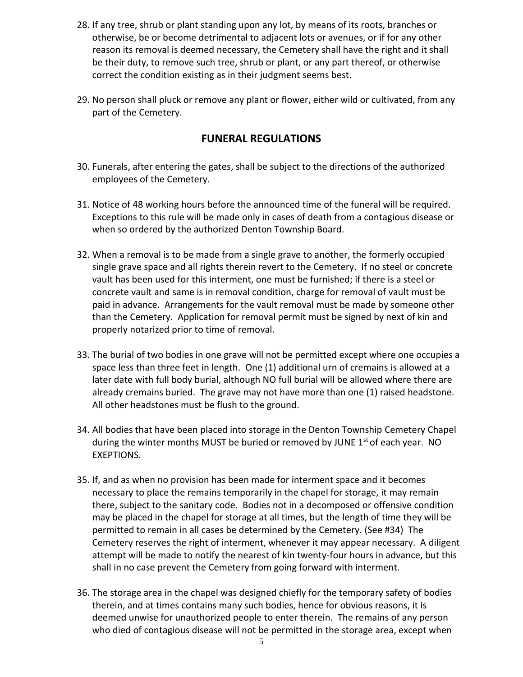- 28. If any tree, shrub or plant standing upon any lot, by means of its roots, branches or otherwise, be or become detrimental to adjacent lots or avenues, or if for any other reason its removal is deemed necessary, the Cemetery shall have the right and it shall be their duty, to remove such tree, shrub or plant, or any part thereof, or otherwise correct the condition existing as in their judgment seems best.
- 29. No person shall pluck or remove any plant or flower, either wild or cultivated, from any part of the Cemetery.

# **FUNERAL REGULATIONS**

- 30. Funerals, after entering the gates, shall be subject to the directions of the authorized employees of the Cemetery.
- 31. Notice of 48 working hours before the announced time of the funeral will be required. Exceptions to this rule will be made only in cases of death from a contagious disease or when so ordered by the authorized Denton Township Board.
- 32. When a removal is to be made from a single grave to another, the formerly occupied single grave space and all rights therein revert to the Cemetery. If no steel or concrete vault has been used for this interment, one must be furnished; if there is a steel or concrete vault and same is in removal condition, charge for removal of vault must be paid in advance. Arrangements for the vault removal must be made by someone other than the Cemetery. Application for removal permit must be signed by next of kin and properly notarized prior to time of removal.
- 33. The burial of two bodies in one grave will not be permitted except where one occupies a space less than three feet in length. One (1) additional urn of cremains is allowed at a later date with full body burial, although NO full burial will be allowed where there are already cremains buried. The grave may not have more than one (1) raised headstone. All other headstones must be flush to the ground.
- 34. All bodies that have been placed into storage in the Denton Township Cemetery Chapel during the winter months  $MUST$  be buried or removed by JUNE 1<sup>st</sup> of each year. NO EXEPTIONS.
- 35. If, and as when no provision has been made for interment space and it becomes necessary to place the remains temporarily in the chapel for storage, it may remain there, subject to the sanitary code. Bodies not in a decomposed or offensive condition may be placed in the chapel for storage at all times, but the length of time they will be permitted to remain in all cases be determined by the Cemetery. (See #34) The Cemetery reserves the right of interment, whenever it may appear necessary. A diligent attempt will be made to notify the nearest of kin twenty-four hours in advance, but this shall in no case prevent the Cemetery from going forward with interment.
- 36. The storage area in the chapel was designed chiefly for the temporary safety of bodies therein, and at times contains many such bodies, hence for obvious reasons, it is deemed unwise for unauthorized people to enter therein. The remains of any person who died of contagious disease will not be permitted in the storage area, except when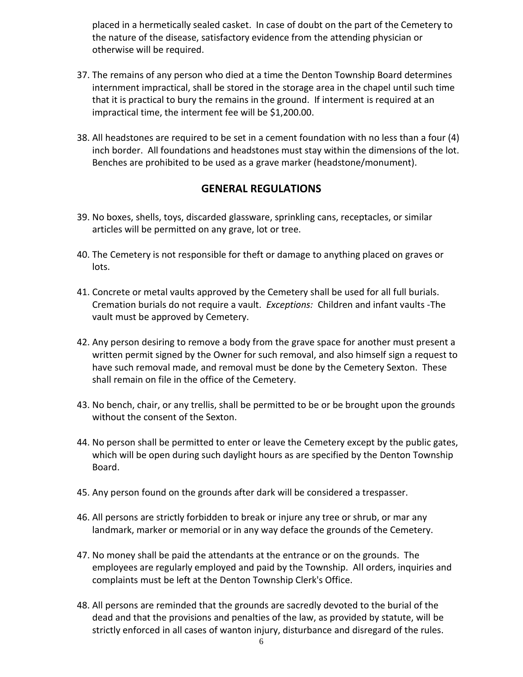placed in a hermetically sealed casket. In case of doubt on the part of the Cemetery to the nature of the disease, satisfactory evidence from the attending physician or otherwise will be required.

- 37. The remains of any person who died at a time the Denton Township Board determines internment impractical, shall be stored in the storage area in the chapel until such time that it is practical to bury the remains in the ground. If interment is required at an impractical time, the interment fee will be \$1,200.00.
- 38. All headstones are required to be set in a cement foundation with no less than a four (4) inch border. All foundations and headstones must stay within the dimensions of the lot. Benches are prohibited to be used as a grave marker (headstone/monument).

# **GENERAL REGULATIONS**

- 39. No boxes, shells, toys, discarded glassware, sprinkling cans, receptacles, or similar articles will be permitted on any grave, lot or tree.
- 40. The Cemetery is not responsible for theft or damage to anything placed on graves or lots.
- 41. Concrete or metal vaults approved by the Cemetery shall be used for all full burials. Cremation burials do not require a vault. *Exceptions:* Children and infant vaults -The vault must be approved by Cemetery.
- 42. Any person desiring to remove a body from the grave space for another must present a written permit signed by the Owner for such removal, and also himself sign a request to have such removal made, and removal must be done by the Cemetery Sexton. These shall remain on file in the office of the Cemetery.
- 43. No bench, chair, or any trellis, shall be permitted to be or be brought upon the grounds without the consent of the Sexton.
- 44. No person shall be permitted to enter or leave the Cemetery except by the public gates, which will be open during such daylight hours as are specified by the Denton Township Board.
- 45. Any person found on the grounds after dark will be considered a trespasser.
- 46. All persons are strictly forbidden to break or injure any tree or shrub, or mar any landmark, marker or memorial or in any way deface the grounds of the Cemetery.
- 47. No money shall be paid the attendants at the entrance or on the grounds. The employees are regularly employed and paid by the Township. All orders, inquiries and complaints must be left at the Denton Township Clerk's Office.
- 48. All persons are reminded that the grounds are sacredly devoted to the burial of the dead and that the provisions and penalties of the law, as provided by statute, will be strictly enforced in all cases of wanton injury, disturbance and disregard of the rules.